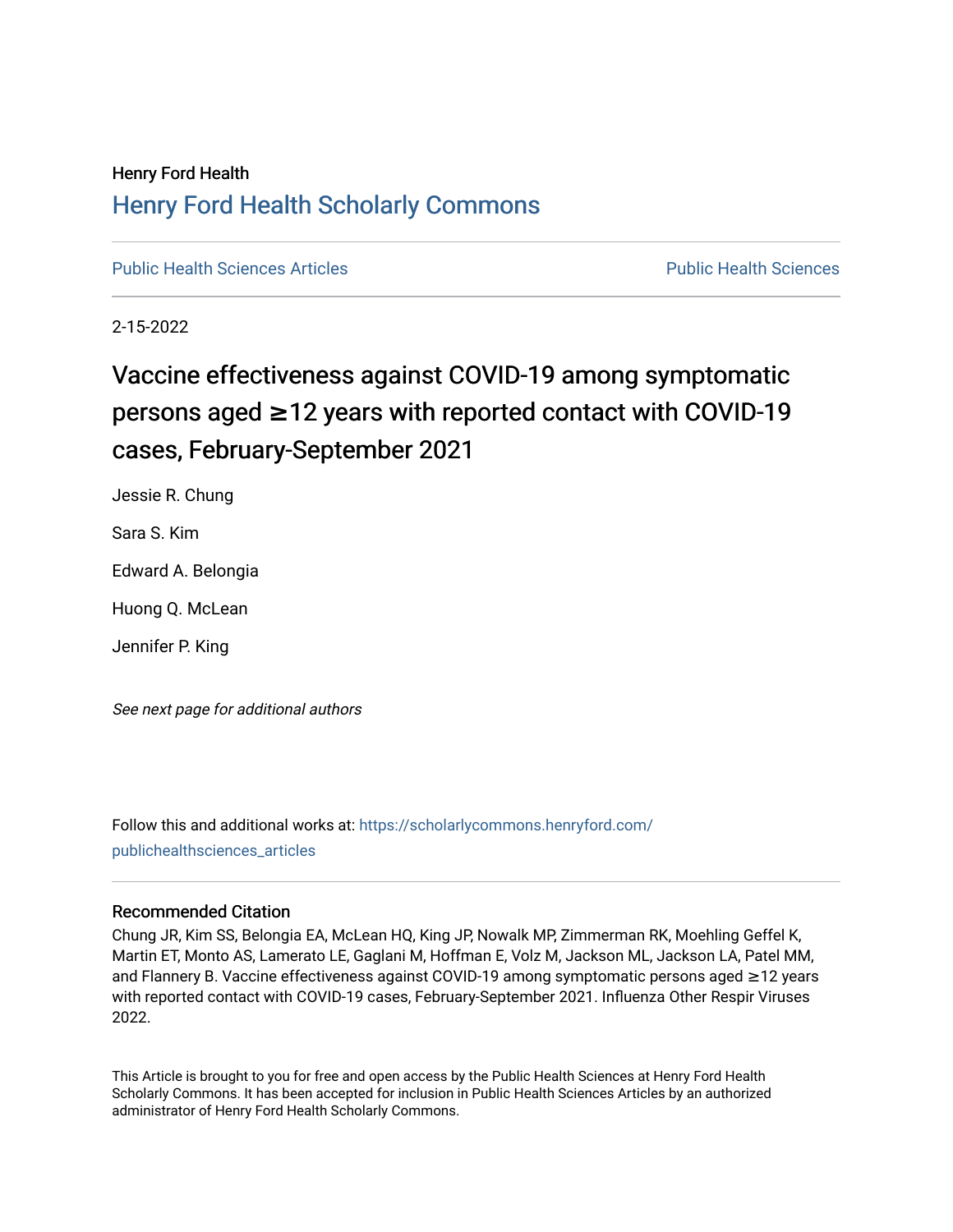# Henry Ford Health [Henry Ford Health Scholarly Commons](https://scholarlycommons.henryford.com/)

[Public Health Sciences Articles](https://scholarlycommons.henryford.com/publichealthsciences_articles) [Public Health Sciences](https://scholarlycommons.henryford.com/publichealthsciences) 

2-15-2022

# Vaccine effectiveness against COVID-19 among symptomatic persons aged ≥12 years with reported contact with COVID-19 cases, February-September 2021

Jessie R. Chung

Sara S. Kim

Edward A. Belongia

Huong Q. McLean

Jennifer P. King

See next page for additional authors

Follow this and additional works at: [https://scholarlycommons.henryford.com/](https://scholarlycommons.henryford.com/publichealthsciences_articles?utm_source=scholarlycommons.henryford.com%2Fpublichealthsciences_articles%2F310&utm_medium=PDF&utm_campaign=PDFCoverPages) [publichealthsciences\\_articles](https://scholarlycommons.henryford.com/publichealthsciences_articles?utm_source=scholarlycommons.henryford.com%2Fpublichealthsciences_articles%2F310&utm_medium=PDF&utm_campaign=PDFCoverPages) 

# Recommended Citation

Chung JR, Kim SS, Belongia EA, McLean HQ, King JP, Nowalk MP, Zimmerman RK, Moehling Geffel K, Martin ET, Monto AS, Lamerato LE, Gaglani M, Hoffman E, Volz M, Jackson ML, Jackson LA, Patel MM, and Flannery B. Vaccine effectiveness against COVID-19 among symptomatic persons aged ≥12 years with reported contact with COVID-19 cases, February-September 2021. Influenza Other Respir Viruses 2022.

This Article is brought to you for free and open access by the Public Health Sciences at Henry Ford Health Scholarly Commons. It has been accepted for inclusion in Public Health Sciences Articles by an authorized administrator of Henry Ford Health Scholarly Commons.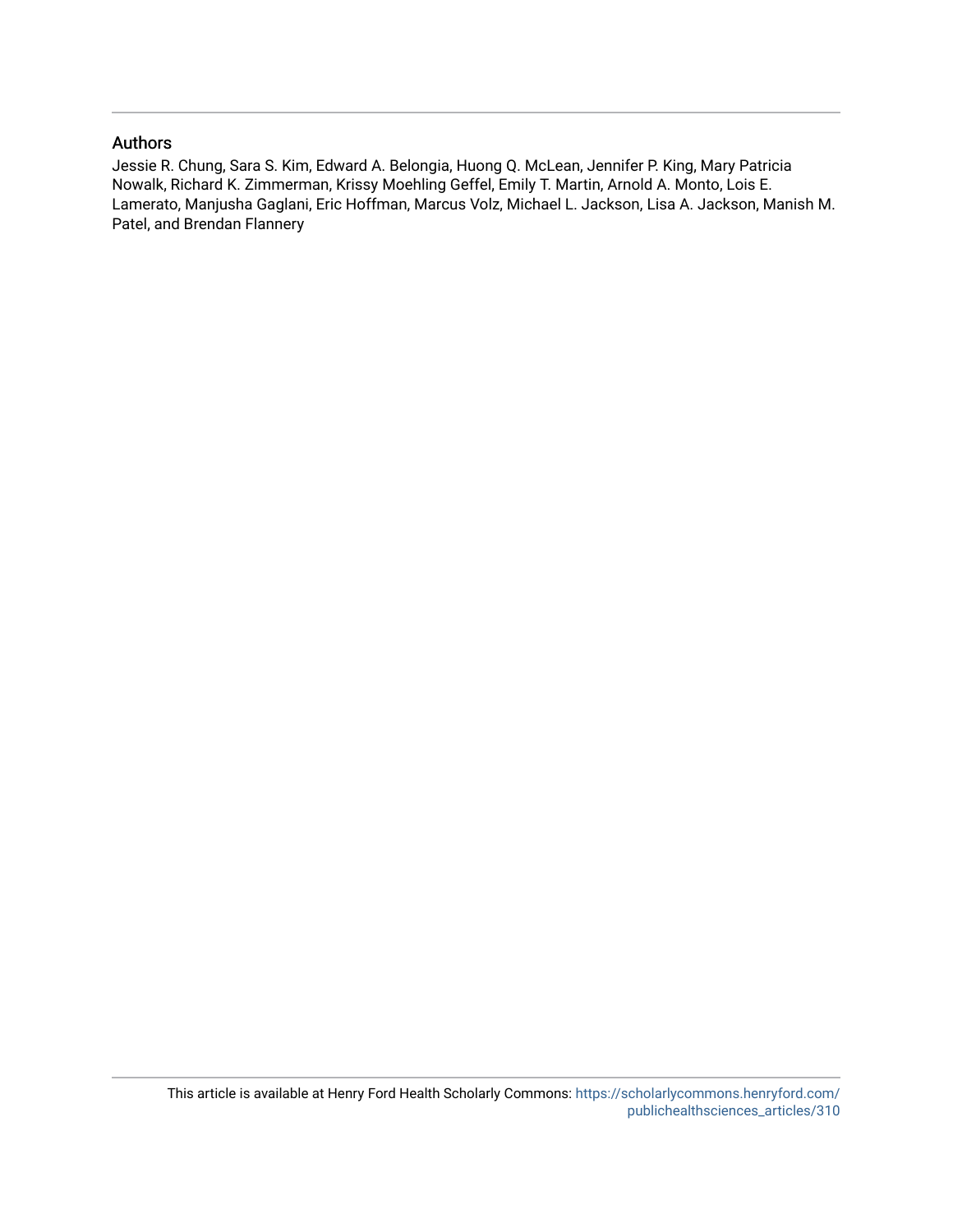# Authors

Jessie R. Chung, Sara S. Kim, Edward A. Belongia, Huong Q. McLean, Jennifer P. King, Mary Patricia Nowalk, Richard K. Zimmerman, Krissy Moehling Geffel, Emily T. Martin, Arnold A. Monto, Lois E. Lamerato, Manjusha Gaglani, Eric Hoffman, Marcus Volz, Michael L. Jackson, Lisa A. Jackson, Manish M. Patel, and Brendan Flannery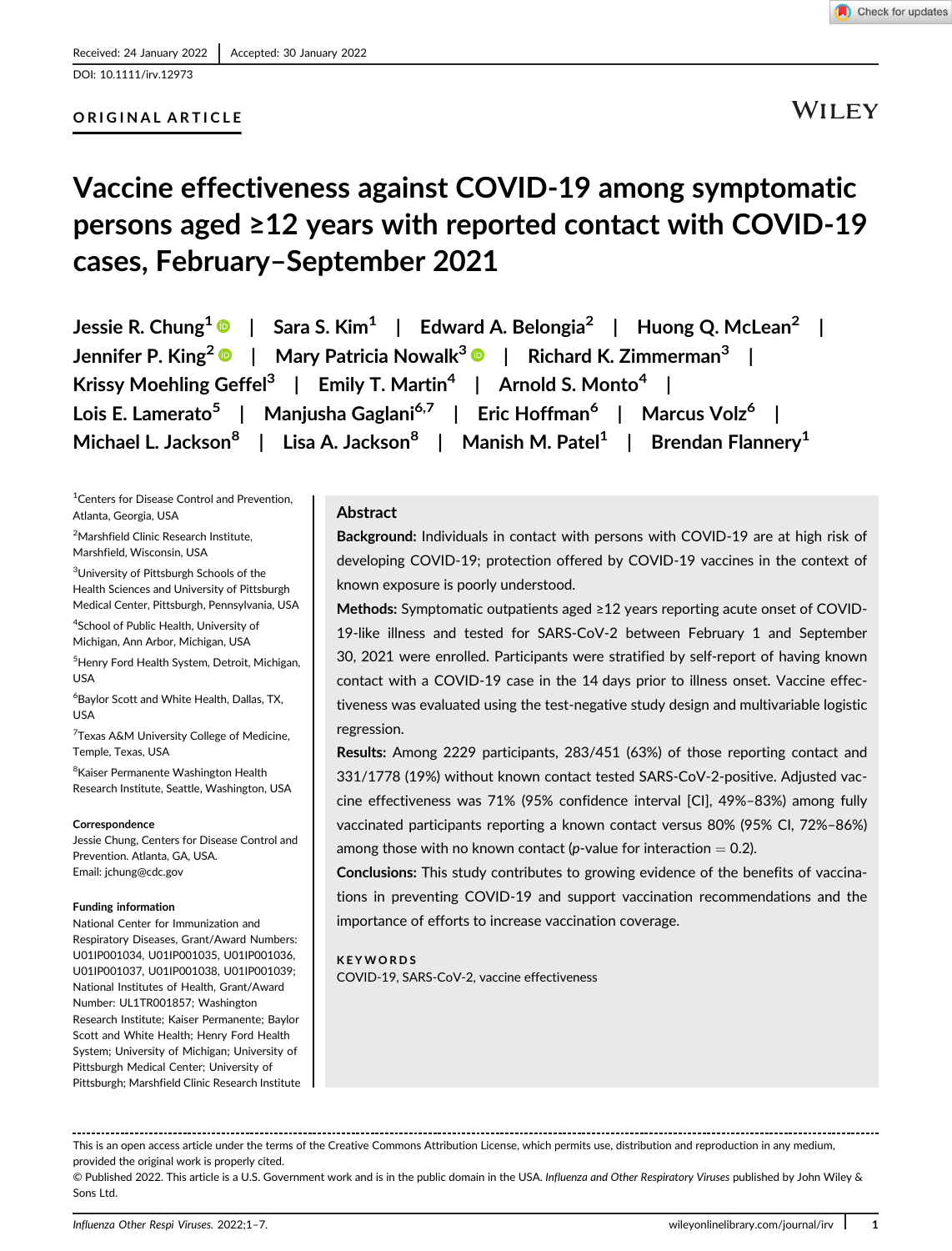

[DOI: 10.1111/irv.12973](https://doi.org/10.1111/irv.12973)

## ORIGINAL ARTICLE

WILEY

# Vaccine effectiveness against COVID-19 among symptomatic persons aged ≥12 years with reported contact with COVID-19 cases, February–September 2021

Jessie R. Chung<sup>1</sup>  $\bullet$  | Sara S. Kim<sup>1</sup> | Edward A. Belongia<sup>2</sup> | Huong Q. McLean<sup>2</sup> | Jennifer P. King<sup>2</sup>  $\bullet$  | Mary Patricia Nowalk<sup>3</sup>  $\bullet$  | Richard K. Zimmerman<sup>3</sup> | Krissy Moehling Geffel<sup>3</sup> | Emily T. Martin<sup>4</sup> | Arnold S. Monto<sup>4</sup> | Lois E. Lamerato<sup>5</sup> | Manjusha Gaglani<sup>6,7</sup> | Eric Hoffman<sup>6</sup> | Marcus Volz<sup>6</sup> | Michael L. Jackson<sup>8</sup> | Lisa A. Jackson<sup>8</sup> | Manish M. Patel<sup>1</sup> | Brendan Flannery<sup>1</sup>

<sup>1</sup> Centers for Disease Control and Prevention, Atlanta, Georgia, USA

<sup>2</sup>Marshfield Clinic Research Institute, Marshfield, Wisconsin, USA

<sup>3</sup>University of Pittsburgh Schools of the Health Sciences and University of Pittsburgh Medical Center, Pittsburgh, Pennsylvania, USA

4 School of Public Health, University of Michigan, Ann Arbor, Michigan, USA

5 Henry Ford Health System, Detroit, Michigan, USA

6 Baylor Scott and White Health, Dallas, TX, USA

<sup>7</sup> Texas A&M University College of Medicine, Temple, Texas, USA

<sup>8</sup>Kaiser Permanente Washington Health Research Institute, Seattle, Washington, USA

#### Correspondence

Jessie Chung, Centers for Disease Control and Prevention. Atlanta, GA, USA. Email: [jchung@cdc.gov](mailto:jchung@cdc.gov)

#### Funding information

National Center for Immunization and Respiratory Diseases, Grant/Award Numbers: U01IP001034, U01IP001035, U01IP001036, U01IP001037, U01IP001038, U01IP001039; National Institutes of Health, Grant/Award Number: UL1TR001857; Washington Research Institute; Kaiser Permanente; Baylor Scott and White Health; Henry Ford Health System; University of Michigan; University of Pittsburgh Medical Center; University of Pittsburgh; Marshfield Clinic Research Institute

#### Abstract

Background: Individuals in contact with persons with COVID-19 are at high risk of developing COVID-19; protection offered by COVID-19 vaccines in the context of known exposure is poorly understood.

Methods: Symptomatic outpatients aged ≥12 years reporting acute onset of COVID-19-like illness and tested for SARS-CoV-2 between February 1 and September 30, 2021 were enrolled. Participants were stratified by self-report of having known contact with a COVID-19 case in the 14 days prior to illness onset. Vaccine effectiveness was evaluated using the test-negative study design and multivariable logistic regression.

Results: Among 2229 participants, 283/451 (63%) of those reporting contact and 331/1778 (19%) without known contact tested SARS-CoV-2-positive. Adjusted vaccine effectiveness was 71% (95% confidence interval [CI], 49%–83%) among fully vaccinated participants reporting a known contact versus 80% (95% CI, 72%–86%) among those with no known contact (p-value for interaction  $= 0.2$ ).

Conclusions: This study contributes to growing evidence of the benefits of vaccinations in preventing COVID-19 and support vaccination recommendations and the importance of efforts to increase vaccination coverage.

KEYWORDS COVID-19, SARS-CoV-2, vaccine effectiveness

This is an open access article under the terms of the [Creative Commons Attribution](http://creativecommons.org/licenses/by/4.0/) License, which permits use, distribution and reproduction in any medium, provided the original work is properly cited.

© Published 2022. This article is a U.S. Government work and is in the public domain in the USA. Influenza and Other Respiratory Viruses published by John Wiley & Sons Ltd.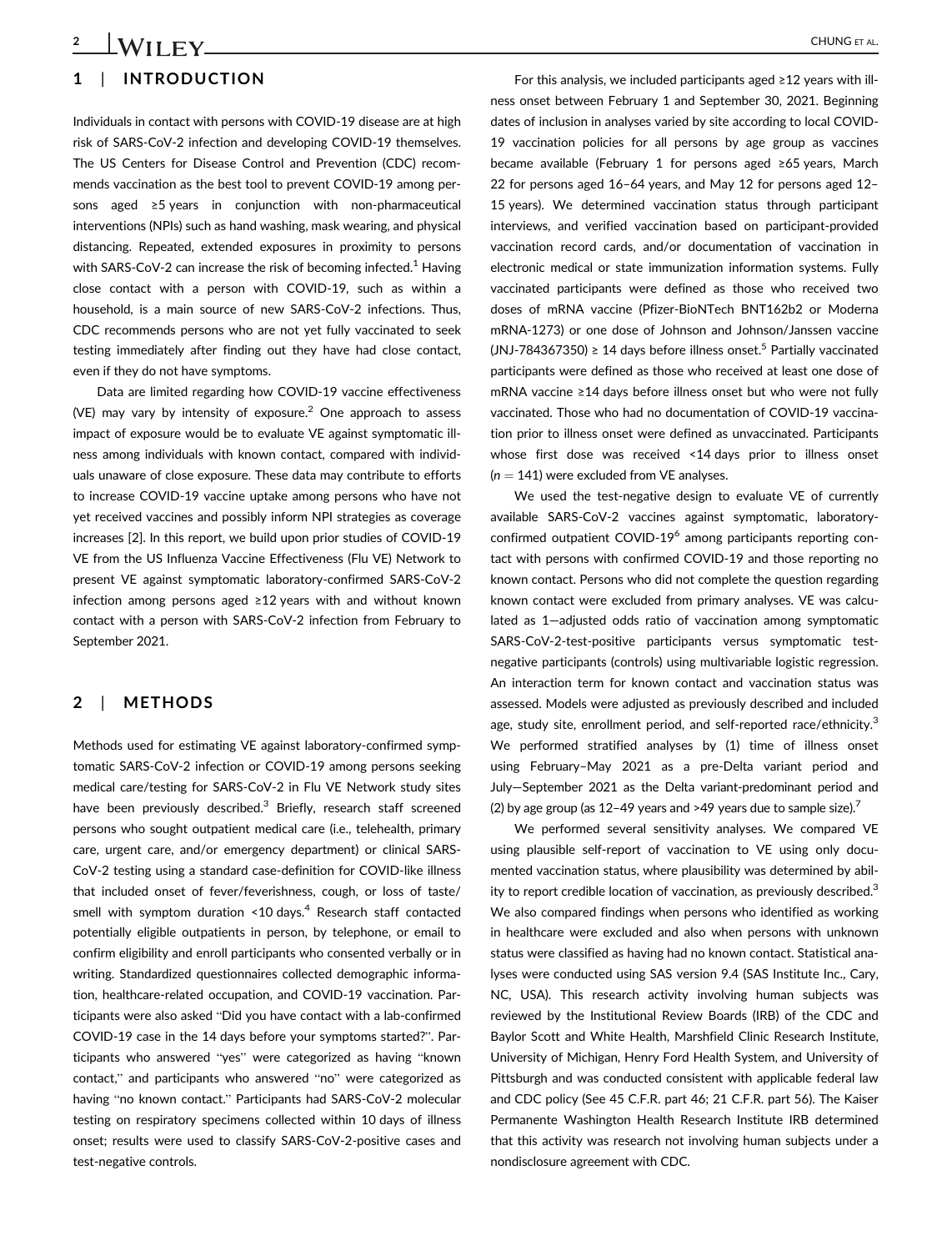# 1 | INTRODUCTION 2 CHUNG ET AL.

Individuals in contact with persons with COVID-19 disease are at high risk of SARS-CoV-2 infection and developing COVID-19 themselves. The US Centers for Disease Control and Prevention (CDC) recommends vaccination as the best tool to prevent COVID-19 among persons aged ≥5 years in conjunction with non-pharmaceutical interventions (NPIs) such as hand washing, mask wearing, and physical distancing. Repeated, extended exposures in proximity to persons with SARS-CoV-2 can increase the risk of becoming infected.<sup>1</sup> Having close contact with a person with COVID-19, such as within a household, is a main source of new SARS-CoV-2 infections. Thus, CDC recommends persons who are not yet fully vaccinated to seek testing immediately after finding out they have had close contact, even if they do not have symptoms.

Data are limited regarding how COVID-19 vaccine effectiveness (VE) may vary by intensity of exposure.<sup>2</sup> One approach to assess impact of exposure would be to evaluate VE against symptomatic illness among individuals with known contact, compared with individuals unaware of close exposure. These data may contribute to efforts to increase COVID-19 vaccine uptake among persons who have not yet received vaccines and possibly inform NPI strategies as coverage increases [2]. In this report, we build upon prior studies of COVID-19 VE from the US Influenza Vaccine Effectiveness (Flu VE) Network to present VE against symptomatic laboratory-confirmed SARS-CoV-2 infection among persons aged ≥12 years with and without known contact with a person with SARS-CoV-2 infection from February to September 2021.

## 2 | METHODS

Methods used for estimating VE against laboratory-confirmed symptomatic SARS-CoV-2 infection or COVID-19 among persons seeking medical care/testing for SARS-CoV-2 in Flu VE Network study sites have been previously described.<sup>3</sup> Briefly, research staff screened persons who sought outpatient medical care (i.e., telehealth, primary care, urgent care, and/or emergency department) or clinical SARS-CoV-2 testing using a standard case-definition for COVID-like illness that included onset of fever/feverishness, cough, or loss of taste/ smell with symptom duration  $\leq 10 \text{ days}^4$  Research staff contacted potentially eligible outpatients in person, by telephone, or email to confirm eligibility and enroll participants who consented verbally or in writing. Standardized questionnaires collected demographic information, healthcare-related occupation, and COVID-19 vaccination. Participants were also asked "Did you have contact with a lab-confirmed COVID-19 case in the 14 days before your symptoms started?". Participants who answered "yes" were categorized as having "known contact," and participants who answered "no" were categorized as having "no known contact." Participants had SARS-CoV-2 molecular testing on respiratory specimens collected within 10 days of illness onset; results were used to classify SARS-CoV-2-positive cases and test-negative controls.

For this analysis, we included participants aged ≥12 years with illness onset between February 1 and September 30, 2021. Beginning dates of inclusion in analyses varied by site according to local COVID-19 vaccination policies for all persons by age group as vaccines became available (February 1 for persons aged ≥65 years, March 22 for persons aged 16–64 years, and May 12 for persons aged 12– 15 years). We determined vaccination status through participant interviews, and verified vaccination based on participant-provided vaccination record cards, and/or documentation of vaccination in electronic medical or state immunization information systems. Fully vaccinated participants were defined as those who received two doses of mRNA vaccine (Pfizer-BioNTech BNT162b2 or Moderna mRNA-1273) or one dose of Johnson and Johnson/Janssen vaccine (JNJ-784367350) ≥ 14 days before illness onset.<sup>5</sup> Partially vaccinated participants were defined as those who received at least one dose of mRNA vaccine ≥14 days before illness onset but who were not fully vaccinated. Those who had no documentation of COVID-19 vaccination prior to illness onset were defined as unvaccinated. Participants whose first dose was received <14 days prior to illness onset  $(n = 141)$  were excluded from VE analyses.

We used the test-negative design to evaluate VE of currently available SARS-CoV-2 vaccines against symptomatic, laboratoryconfirmed outpatient COVID-196 among participants reporting contact with persons with confirmed COVID-19 and those reporting no known contact. Persons who did not complete the question regarding known contact were excluded from primary analyses. VE was calculated as 1—adjusted odds ratio of vaccination among symptomatic SARS-CoV-2-test-positive participants versus symptomatic testnegative participants (controls) using multivariable logistic regression. An interaction term for known contact and vaccination status was assessed. Models were adjusted as previously described and included age, study site, enrollment period, and self-reported race/ethnicity.<sup>3</sup> We performed stratified analyses by (1) time of illness onset using February–May 2021 as a pre-Delta variant period and July—September 2021 as the Delta variant-predominant period and (2) by age group (as  $12-49$  years and >49 years due to sample size).<sup>7</sup>

We performed several sensitivity analyses. We compared VE using plausible self-report of vaccination to VE using only documented vaccination status, where plausibility was determined by ability to report credible location of vaccination, as previously described.<sup>3</sup> We also compared findings when persons who identified as working in healthcare were excluded and also when persons with unknown status were classified as having had no known contact. Statistical analyses were conducted using SAS version 9.4 (SAS Institute Inc., Cary, NC, USA). This research activity involving human subjects was reviewed by the Institutional Review Boards (IRB) of the CDC and Baylor Scott and White Health, Marshfield Clinic Research Institute, University of Michigan, Henry Ford Health System, and University of Pittsburgh and was conducted consistent with applicable federal law and CDC policy (See 45 C.F.R. part 46; 21 C.F.R. part 56). The Kaiser Permanente Washington Health Research Institute IRB determined that this activity was research not involving human subjects under a nondisclosure agreement with CDC.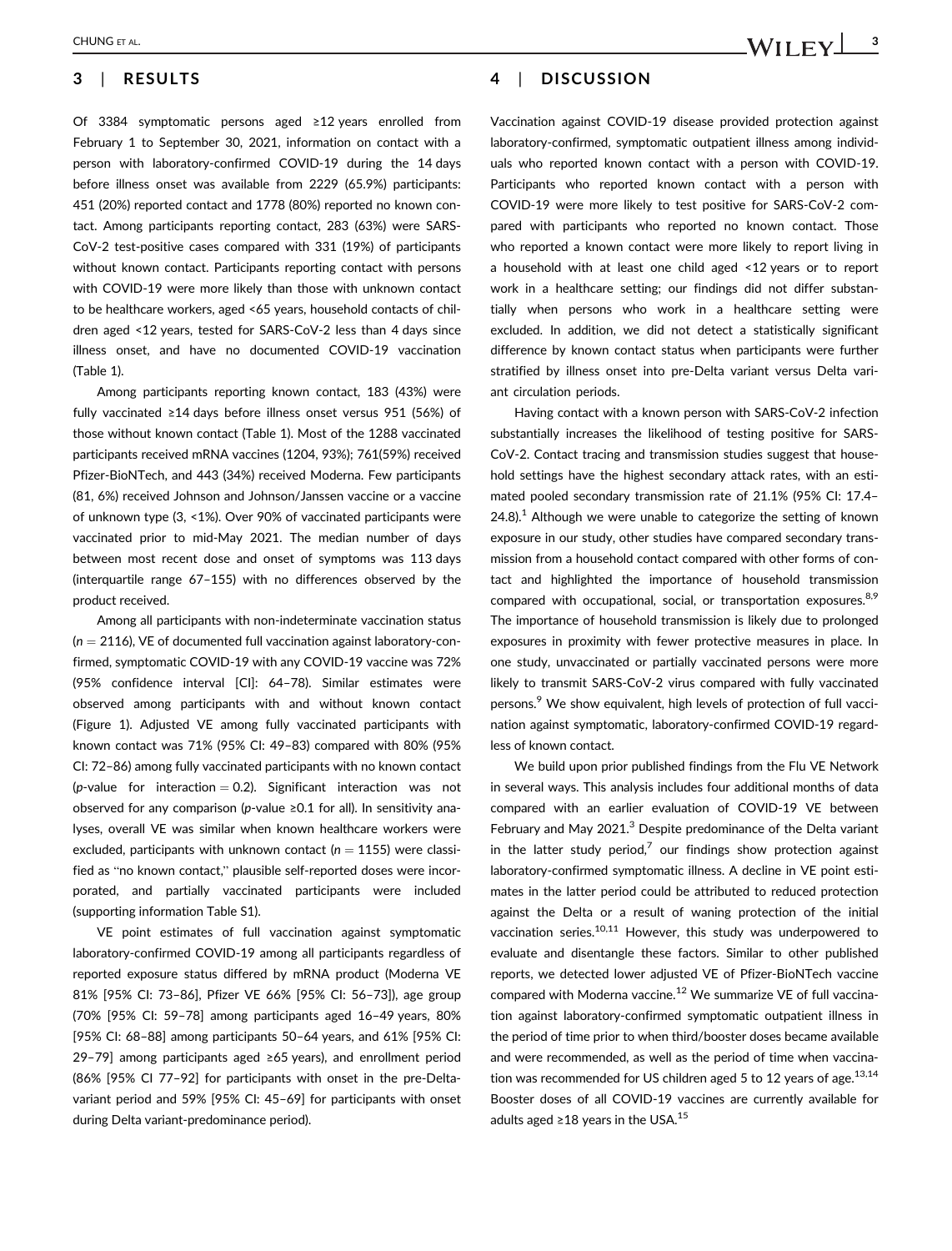# 3 | RESULTS

Of 3384 symptomatic persons aged ≥12 years enrolled from February 1 to September 30, 2021, information on contact with a person with laboratory-confirmed COVID-19 during the 14 days before illness onset was available from 2229 (65.9%) participants: 451 (20%) reported contact and 1778 (80%) reported no known contact. Among participants reporting contact, 283 (63%) were SARS-CoV-2 test-positive cases compared with 331 (19%) of participants without known contact. Participants reporting contact with persons with COVID-19 were more likely than those with unknown contact to be healthcare workers, aged <65 years, household contacts of children aged <12 years, tested for SARS-CoV-2 less than 4 days since illness onset, and have no documented COVID-19 vaccination (Table 1).

Among participants reporting known contact, 183 (43%) were fully vaccinated ≥14 days before illness onset versus 951 (56%) of those without known contact (Table 1). Most of the 1288 vaccinated participants received mRNA vaccines (1204, 93%); 761(59%) received Pfizer-BioNTech, and 443 (34%) received Moderna. Few participants (81, 6%) received Johnson and Johnson/Janssen vaccine or a vaccine of unknown type (3, <1%). Over 90% of vaccinated participants were vaccinated prior to mid-May 2021. The median number of days between most recent dose and onset of symptoms was 113 days (interquartile range 67–155) with no differences observed by the product received.

Among all participants with non-indeterminate vaccination status  $(n = 2116)$ , VE of documented full vaccination against laboratory-confirmed, symptomatic COVID-19 with any COVID-19 vaccine was 72% (95% confidence interval [CI]: 64–78). Similar estimates were observed among participants with and without known contact (Figure 1). Adjusted VE among fully vaccinated participants with known contact was 71% (95% CI: 49–83) compared with 80% (95% CI: 72–86) among fully vaccinated participants with no known contact (*p*-value for interaction  $= 0.2$ ). Significant interaction was not observed for any comparison (p-value ≥0.1 for all). In sensitivity analyses, overall VE was similar when known healthcare workers were excluded, participants with unknown contact ( $n = 1155$ ) were classified as "no known contact," plausible self-reported doses were incorporated, and partially vaccinated participants were included (supporting information Table S1).

VE point estimates of full vaccination against symptomatic laboratory-confirmed COVID-19 among all participants regardless of reported exposure status differed by mRNA product (Moderna VE 81% [95% CI: 73–86], Pfizer VE 66% [95% CI: 56–73]), age group (70% [95% CI: 59–78] among participants aged 16–49 years, 80% [95% CI: 68–88] among participants 50–64 years, and 61% [95% CI: 29–79] among participants aged ≥65 years), and enrollment period (86% [95% CI 77–92] for participants with onset in the pre-Deltavariant period and 59% [95% CI: 45–69] for participants with onset during Delta variant-predominance period).

4 | DISCUSSION

Vaccination against COVID-19 disease provided protection against laboratory-confirmed, symptomatic outpatient illness among individuals who reported known contact with a person with COVID-19. Participants who reported known contact with a person with COVID-19 were more likely to test positive for SARS-CoV-2 compared with participants who reported no known contact. Those who reported a known contact were more likely to report living in a household with at least one child aged <12 years or to report work in a healthcare setting; our findings did not differ substantially when persons who work in a healthcare setting were excluded. In addition, we did not detect a statistically significant difference by known contact status when participants were further stratified by illness onset into pre-Delta variant versus Delta variant circulation periods.

Having contact with a known person with SARS-CoV-2 infection substantially increases the likelihood of testing positive for SARS-CoV-2. Contact tracing and transmission studies suggest that household settings have the highest secondary attack rates, with an estimated pooled secondary transmission rate of 21.1% (95% CI: 17.4– 24.8).<sup>1</sup> Although we were unable to categorize the setting of known exposure in our study, other studies have compared secondary transmission from a household contact compared with other forms of contact and highlighted the importance of household transmission compared with occupational, social, or transportation exposures.<sup>8,9</sup> The importance of household transmission is likely due to prolonged exposures in proximity with fewer protective measures in place. In one study, unvaccinated or partially vaccinated persons were more likely to transmit SARS-CoV-2 virus compared with fully vaccinated persons.<sup>9</sup> We show equivalent, high levels of protection of full vaccination against symptomatic, laboratory-confirmed COVID-19 regardless of known contact.

We build upon prior published findings from the Flu VE Network in several ways. This analysis includes four additional months of data compared with an earlier evaluation of COVID-19 VE between February and May 2021.<sup>3</sup> Despite predominance of the Delta variant in the latter study period, $^7$  our findings show protection against laboratory-confirmed symptomatic illness. A decline in VE point estimates in the latter period could be attributed to reduced protection against the Delta or a result of waning protection of the initial vaccination series.<sup>10,11</sup> However, this study was underpowered to evaluate and disentangle these factors. Similar to other published reports, we detected lower adjusted VE of Pfizer-BioNTech vaccine compared with Moderna vaccine.<sup>12</sup> We summarize VE of full vaccination against laboratory-confirmed symptomatic outpatient illness in the period of time prior to when third/booster doses became available and were recommended, as well as the period of time when vaccination was recommended for US children aged 5 to 12 years of age. $^{13,14}$ Booster doses of all COVID-19 vaccines are currently available for adults aged ≥18 years in the USA.<sup>15</sup>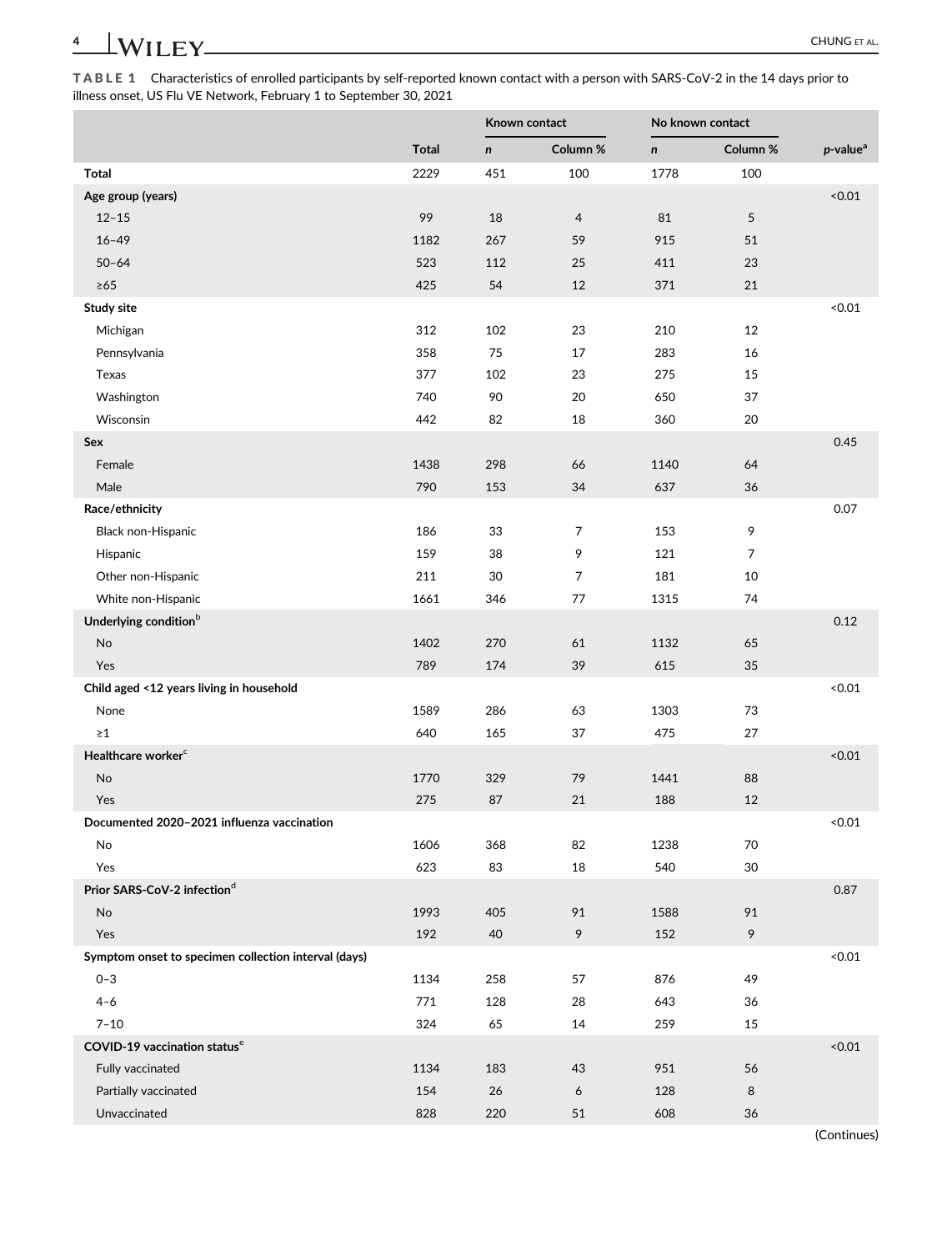TABLE 1 Characteristics of enrolled participants by self-reported known contact with a person with SARS-CoV-2 in the 14 days prior to illness onset, US Flu VE Network, February 1 to September 30, 2021

|                                                      |              |              | Known contact  |      | No known contact |                         |  |
|------------------------------------------------------|--------------|--------------|----------------|------|------------------|-------------------------|--|
|                                                      | <b>Total</b> | $\mathsf{n}$ | Column %       | n    | Column %         | $p$ -value <sup>a</sup> |  |
| <b>Total</b>                                         | 2229         | 451          | 100            | 1778 | 100              |                         |  |
| Age group (years)                                    |              |              |                |      |                  | < 0.01                  |  |
| $12 - 15$                                            | 99           | 18           | $\overline{4}$ | 81   | 5                |                         |  |
| $16 - 49$                                            | 1182         | 267          | 59             | 915  | 51               |                         |  |
| $50 - 64$                                            | 523          | 112          | 25             | 411  | 23               |                         |  |
| $\geq 65$                                            | 425          | 54           | 12             | 371  | 21               |                         |  |
| Study site                                           |              |              |                |      |                  | < 0.01                  |  |
| Michigan                                             | 312          | 102          | 23             | 210  | 12               |                         |  |
| Pennsylvania                                         | 358          | 75           | 17             | 283  | 16               |                         |  |
| Texas                                                | 377          | 102          | 23             | 275  | 15               |                         |  |
| Washington                                           | 740          | 90           | 20             | 650  | 37               |                         |  |
| Wisconsin                                            | 442          | 82           | 18             | 360  | 20               |                         |  |
| Sex                                                  |              |              |                |      |                  | 0.45                    |  |
| Female                                               | 1438         | 298          | 66             | 1140 | 64               |                         |  |
| Male                                                 | 790          | 153          | 34             | 637  | 36               |                         |  |
| Race/ethnicity                                       |              |              |                |      |                  | 0.07                    |  |
| Black non-Hispanic                                   | 186          | 33           | 7              | 153  | 9                |                         |  |
| Hispanic                                             | 159          | 38           | 9              | 121  | 7                |                         |  |
| Other non-Hispanic                                   | 211          | 30           | 7              | 181  | 10               |                         |  |
| White non-Hispanic                                   | 1661         | 346          | 77             | 1315 | 74               |                         |  |
| Underlying condition <sup>b</sup>                    |              |              |                |      |                  | 0.12                    |  |
| No                                                   | 1402         | 270          | 61             | 1132 | 65               |                         |  |
| Yes                                                  | 789          | 174          | 39             | 615  | 35               |                         |  |
| Child aged <12 years living in household             |              |              |                |      |                  | < 0.01                  |  |
| None                                                 | 1589         | 286          | 63             | 1303 | 73               |                         |  |
| $\geq 1$                                             | 640          | 165          | 37             | 475  | 27               |                         |  |
| Healthcare worker <sup>c</sup>                       |              |              |                |      |                  | < 0.01                  |  |
| No                                                   | 1770         | 329          | 79             | 1441 | 88               |                         |  |
| Yes                                                  | 275          | 87           | 21             | 188  | 12               |                         |  |
| Documented 2020-2021 influenza vaccination           |              |              |                |      |                  | < 0.01                  |  |
| No                                                   | 1606         | 368          | 82             | 1238 | 70               |                         |  |
| Yes                                                  | 623          | 83           | 18             | 540  | $30\,$           |                         |  |
| Prior SARS-CoV-2 infection <sup>d</sup>              |              |              |                |      |                  | 0.87                    |  |
| No                                                   | 1993         | 405          | 91             | 1588 | 91               |                         |  |
| Yes                                                  | 192          | 40           | 9              | 152  | 9                |                         |  |
| Symptom onset to specimen collection interval (days) |              |              |                |      |                  | < 0.01                  |  |
| $0 - 3$                                              | 1134         | 258          | 57             | 876  | 49               |                         |  |
| $4 - 6$                                              | 771          | 128          | 28             | 643  | 36               |                         |  |
| $7 - 10$                                             | 324          | 65           | 14             | 259  | 15               |                         |  |
| COVID-19 vaccination status <sup>e</sup>             |              |              |                |      |                  | < 0.01                  |  |
| Fully vaccinated                                     | 1134         | 183          | 43             | 951  | 56               |                         |  |
| Partially vaccinated                                 | 154          | 26           | 6              | 128  | 8                |                         |  |
| Unvaccinated                                         | 828          | 220          | 51             | 608  | 36               |                         |  |

(Continues)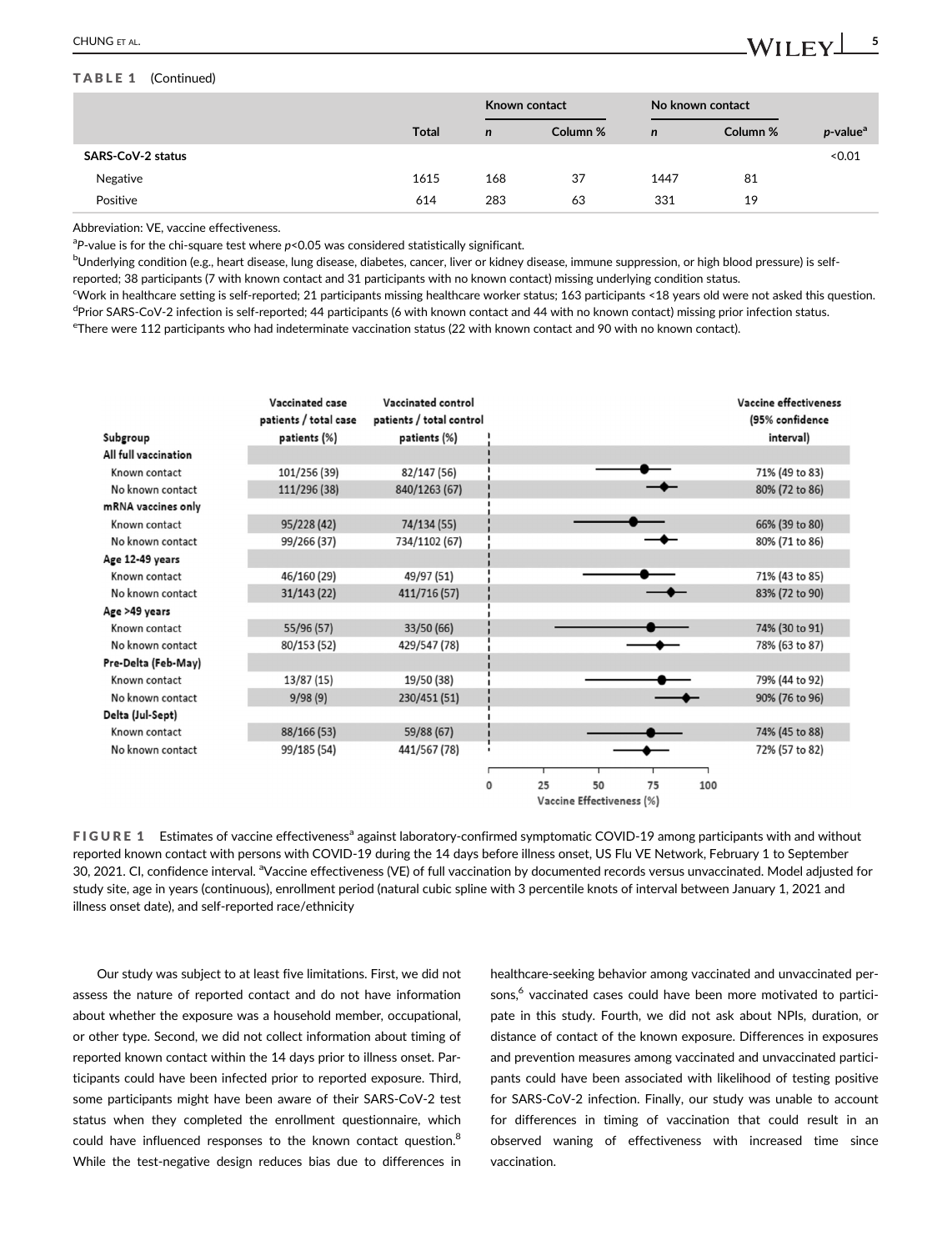#### TABLE 1 (Continued)

|                          |              |             | Known contact |              | No known contact |                         |
|--------------------------|--------------|-------------|---------------|--------------|------------------|-------------------------|
|                          | <b>Total</b> | $\mathbf n$ | Column %      | $\mathsf{n}$ | Column %         | $p$ -value <sup>a</sup> |
| <b>SARS-CoV-2 status</b> |              |             |               |              |                  | < 0.01                  |
| Negative                 | 1615         | 168         | 37            | 1447         | 81               |                         |
| Positive                 | 614          | 283         | 63            | 331          | 19               |                         |

Abbreviation: VE, vaccine effectiveness.

 ${}^{a}P$ -value is for the chi-square test where  $p$ <0.05 was considered statistically significant.

<sup>b</sup>Underlying condition (e.g., heart disease, lung disease, diabetes, cancer, liver or kidney disease, immune suppression, or high blood pressure) is selfreported; 38 participants (7 with known contact and 31 participants with no known contact) missing underlying condition status.

c Work in healthcare setting is self-reported; 21 participants missing healthcare worker status; 163 participants <18 years old were not asked this question. <sup>d</sup>Prior SARS-CoV-2 infection is self-reported; 44 participants (6 with known contact and 44 with no known contact) missing prior infection status.

e There were 112 participants who had indeterminate vaccination status (22 with known contact and 90 with no known contact).

| Subgroup             | Vaccinated case<br>patients / total case<br>patients (%) | Vaccinated control<br>patients / total control<br>patients (%) |                           |    |    |    |     | Vaccine effectiveness<br>(95% confidence<br>interval) |  |
|----------------------|----------------------------------------------------------|----------------------------------------------------------------|---------------------------|----|----|----|-----|-------------------------------------------------------|--|
| All full vaccination |                                                          |                                                                |                           |    |    |    |     |                                                       |  |
| Known contact        | 101/256 (39)                                             | 82/147 (56)                                                    |                           |    |    |    |     | 71% (49 to 83)                                        |  |
| No known contact     | 111/296 (38)                                             | 840/1263 (67)                                                  |                           |    |    |    |     | 80% (72 to 86)                                        |  |
| mRNA vaccines only   |                                                          |                                                                |                           |    |    |    |     |                                                       |  |
| Known contact        | 95/228 (42)                                              | 74/134 (55)                                                    |                           |    |    |    |     | 66% (39 to 80)                                        |  |
| No known contact     | 99/266 (37)                                              | 734/1102 (67)                                                  |                           |    |    |    |     | 80% (71 to 86)                                        |  |
| Age 12-49 years      |                                                          |                                                                |                           |    |    |    |     |                                                       |  |
| Known contact        | 46/160 (29)                                              | 49/97 (51)                                                     |                           |    |    |    |     | 71% (43 to 85)                                        |  |
| No known contact     | 31/143(22)                                               | 411/716 (57)                                                   |                           |    |    |    |     | 83% (72 to 90)                                        |  |
| Age >49 years        |                                                          |                                                                |                           |    |    |    |     |                                                       |  |
| Known contact        | 55/96 (57)                                               | 33/50 (66)                                                     |                           |    |    |    |     | 74% (30 to 91)                                        |  |
| No known contact     | 80/153 (52)                                              | 429/547 (78)                                                   |                           |    |    |    |     | 78% (63 to 87)                                        |  |
| Pre-Delta (Feb-May)  |                                                          |                                                                |                           |    |    |    |     |                                                       |  |
| Known contact        | 13/87 (15)                                               | 19/50 (38)                                                     |                           |    |    |    |     | 79% (44 to 92)                                        |  |
| No known contact     | 9/98(9)                                                  | 230/451 (51)                                                   |                           |    |    |    |     | 90% (76 to 96)                                        |  |
| Delta (Jul-Sept)     |                                                          |                                                                |                           |    |    |    |     |                                                       |  |
| Known contact        | 88/166 (53)                                              | 59/88 (67)                                                     |                           |    |    |    |     | 74% (45 to 88)                                        |  |
| No known contact     | 99/185 (54)                                              | 441/567 (78)                                                   |                           |    |    |    |     | 72% (57 to 82)                                        |  |
|                      |                                                          |                                                                |                           |    |    |    |     |                                                       |  |
|                      |                                                          |                                                                | <sup>0</sup>              | 25 | 50 | 75 | 100 |                                                       |  |
|                      |                                                          |                                                                | Vaccine Effectiveness (%) |    |    |    |     |                                                       |  |

FIGURE 1 Estimates of vaccine effectiveness<sup>a</sup> against laboratory-confirmed symptomatic COVID-19 among participants with and without reported known contact with persons with COVID-19 during the 14 days before illness onset, US Flu VE Network, February 1 to September 30, 2021. CI, confidence interval. <sup>a</sup>Vaccine effectiveness (VE) of full vaccination by documented records versus unvaccinated. Model adjusted for study site, age in years (continuous), enrollment period (natural cubic spline with 3 percentile knots of interval between January 1, 2021 and illness onset date), and self-reported race/ethnicity

Our study was subject to at least five limitations. First, we did not assess the nature of reported contact and do not have information about whether the exposure was a household member, occupational, or other type. Second, we did not collect information about timing of reported known contact within the 14 days prior to illness onset. Participants could have been infected prior to reported exposure. Third, some participants might have been aware of their SARS-CoV-2 test status when they completed the enrollment questionnaire, which could have influenced responses to the known contact question.<sup>8</sup> While the test-negative design reduces bias due to differences in

healthcare-seeking behavior among vaccinated and unvaccinated persons,<sup>6</sup> vaccinated cases could have been more motivated to participate in this study. Fourth, we did not ask about NPIs, duration, or distance of contact of the known exposure. Differences in exposures and prevention measures among vaccinated and unvaccinated participants could have been associated with likelihood of testing positive for SARS-CoV-2 infection. Finally, our study was unable to account for differences in timing of vaccination that could result in an observed waning of effectiveness with increased time since vaccination.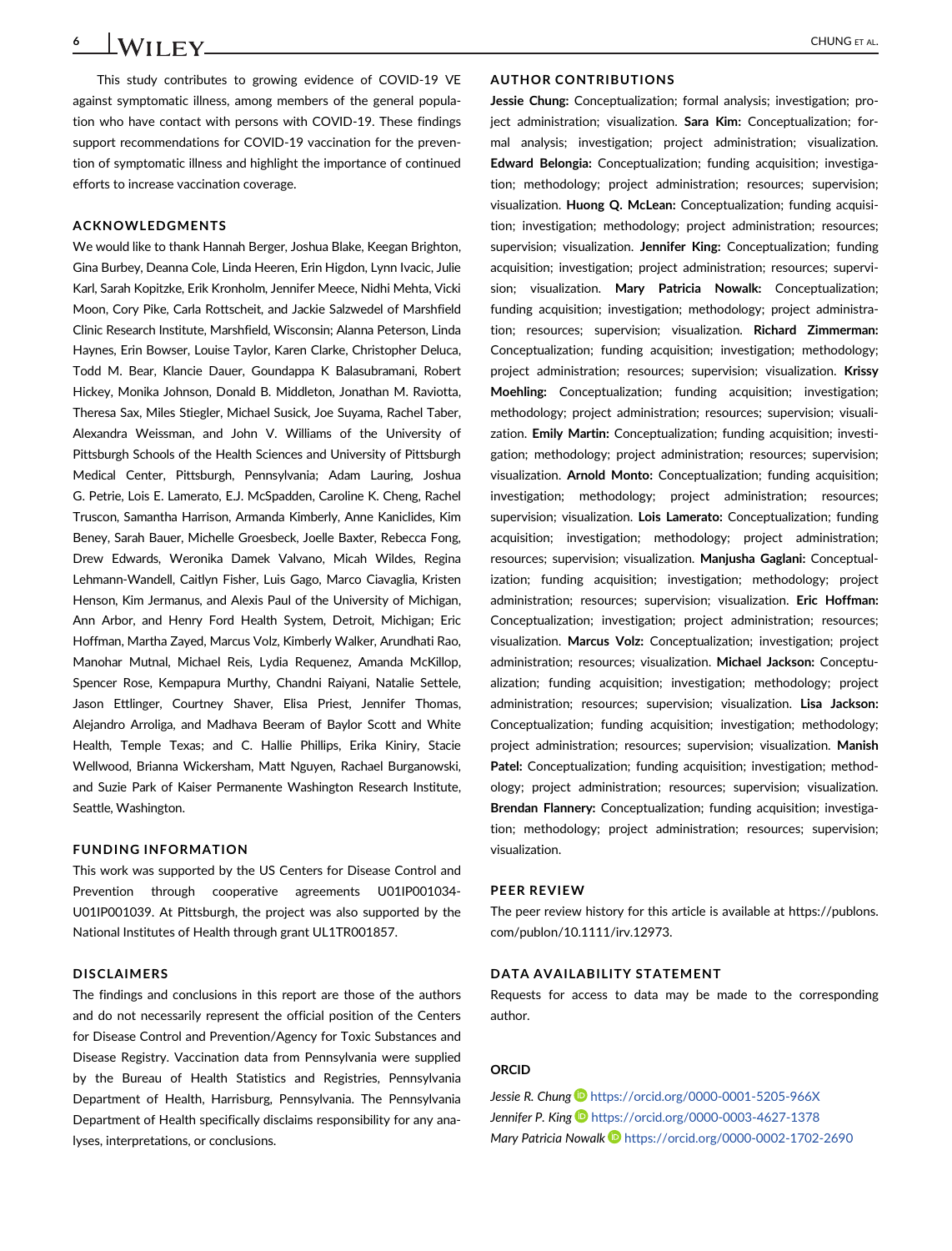This study contributes to growing evidence of COVID-19 VE against symptomatic illness, among members of the general population who have contact with persons with COVID-19. These findings support recommendations for COVID-19 vaccination for the prevention of symptomatic illness and highlight the importance of continued efforts to increase vaccination coverage.

#### ACKNOWLEDGMENTS

We would like to thank Hannah Berger, Joshua Blake, Keegan Brighton, Gina Burbey, Deanna Cole, Linda Heeren, Erin Higdon, Lynn Ivacic, Julie Karl, Sarah Kopitzke, Erik Kronholm, Jennifer Meece, Nidhi Mehta, Vicki Moon, Cory Pike, Carla Rottscheit, and Jackie Salzwedel of Marshfield Clinic Research Institute, Marshfield, Wisconsin; Alanna Peterson, Linda Haynes, Erin Bowser, Louise Taylor, Karen Clarke, Christopher Deluca, Todd M. Bear, Klancie Dauer, Goundappa K Balasubramani, Robert Hickey, Monika Johnson, Donald B. Middleton, Jonathan M. Raviotta, Theresa Sax, Miles Stiegler, Michael Susick, Joe Suyama, Rachel Taber, Alexandra Weissman, and John V. Williams of the University of Pittsburgh Schools of the Health Sciences and University of Pittsburgh Medical Center, Pittsburgh, Pennsylvania; Adam Lauring, Joshua G. Petrie, Lois E. Lamerato, E.J. McSpadden, Caroline K. Cheng, Rachel Truscon, Samantha Harrison, Armanda Kimberly, Anne Kaniclides, Kim Beney, Sarah Bauer, Michelle Groesbeck, Joelle Baxter, Rebecca Fong, Drew Edwards, Weronika Damek Valvano, Micah Wildes, Regina Lehmann-Wandell, Caitlyn Fisher, Luis Gago, Marco Ciavaglia, Kristen Henson, Kim Jermanus, and Alexis Paul of the University of Michigan, Ann Arbor, and Henry Ford Health System, Detroit, Michigan; Eric Hoffman, Martha Zayed, Marcus Volz, Kimberly Walker, Arundhati Rao, Manohar Mutnal, Michael Reis, Lydia Requenez, Amanda McKillop, Spencer Rose, Kempapura Murthy, Chandni Raiyani, Natalie Settele, Jason Ettlinger, Courtney Shaver, Elisa Priest, Jennifer Thomas, Alejandro Arroliga, and Madhava Beeram of Baylor Scott and White Health, Temple Texas; and C. Hallie Phillips, Erika Kiniry, Stacie Wellwood, Brianna Wickersham, Matt Nguyen, Rachael Burganowski, and Suzie Park of Kaiser Permanente Washington Research Institute, Seattle, Washington.

#### FUNDING INFORMATION

This work was supported by the US Centers for Disease Control and Prevention through cooperative agreements U01IP001034- U01IP001039. At Pittsburgh, the project was also supported by the National Institutes of Health through grant UL1TR001857.

#### DISCLAIMERS

The findings and conclusions in this report are those of the authors and do not necessarily represent the official position of the Centers for Disease Control and Prevention/Agency for Toxic Substances and Disease Registry. Vaccination data from Pennsylvania were supplied by the Bureau of Health Statistics and Registries, Pennsylvania Department of Health, Harrisburg, Pennsylvania. The Pennsylvania Department of Health specifically disclaims responsibility for any analyses, interpretations, or conclusions.

### AUTHOR CONTRIBUTIONS

Jessie Chung: Conceptualization; formal analysis; investigation; project administration; visualization. Sara Kim: Conceptualization; formal analysis; investigation; project administration; visualization. Edward Belongia: Conceptualization; funding acquisition; investigation; methodology; project administration; resources; supervision; visualization. Huong Q. McLean: Conceptualization; funding acquisition; investigation; methodology; project administration; resources; supervision; visualization. Jennifer King: Conceptualization; funding acquisition; investigation; project administration; resources; supervision; visualization. Mary Patricia Nowalk: Conceptualization; funding acquisition; investigation; methodology; project administration; resources; supervision; visualization. Richard Zimmerman: Conceptualization; funding acquisition; investigation; methodology; project administration; resources; supervision; visualization. Krissy Moehling: Conceptualization; funding acquisition; investigation; methodology; project administration; resources; supervision; visualization. Emily Martin: Conceptualization; funding acquisition; investigation; methodology; project administration; resources; supervision; visualization. Arnold Monto: Conceptualization; funding acquisition; investigation; methodology; project administration; resources; supervision; visualization. Lois Lamerato: Conceptualization; funding acquisition; investigation; methodology; project administration; resources; supervision; visualization. Manjusha Gaglani: Conceptualization; funding acquisition; investigation; methodology; project administration; resources; supervision; visualization. Eric Hoffman: Conceptualization; investigation; project administration; resources; visualization. Marcus Volz: Conceptualization; investigation; project administration; resources; visualization. Michael Jackson: Conceptualization; funding acquisition; investigation; methodology; project administration; resources; supervision; visualization. Lisa Jackson: Conceptualization; funding acquisition; investigation; methodology; project administration; resources; supervision; visualization. Manish Patel: Conceptualization; funding acquisition; investigation; methodology; project administration; resources; supervision; visualization. Brendan Flannery: Conceptualization; funding acquisition; investigation; methodology; project administration; resources; supervision; visualization.

#### PEER REVIEW

The peer review history for this article is available at [https://publons.](https://publons.com/publon/10.1111/irv.12973) [com/publon/10.1111/irv.12973.](https://publons.com/publon/10.1111/irv.12973)

#### DATA AVAILABILITY STATEMENT

Requests for access to data may be made to the corresponding author.

#### ORCID

Jessie R. Chung <https://orcid.org/0000-0001-5205-966X> Jennifer P. King **b** <https://orcid.org/0000-0003-4627-1378> Mary Patricia Nowalk <https://orcid.org/0000-0002-1702-2690>